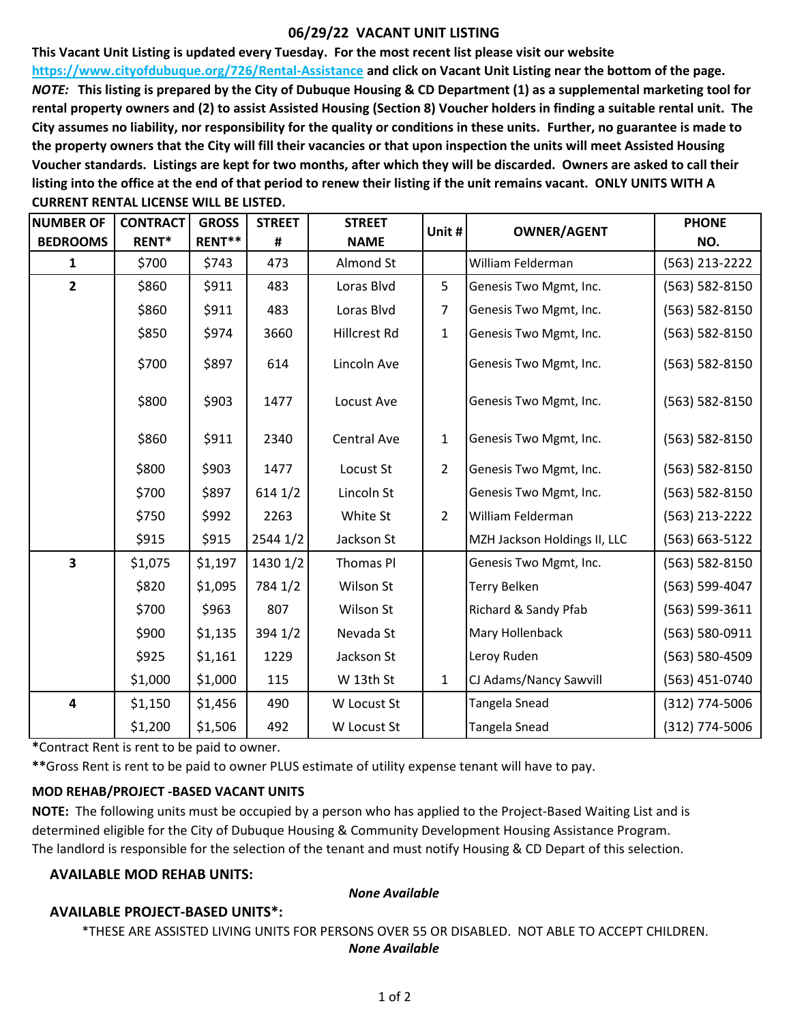# **06/29/22 VACANT UNIT LISTING**

**This Vacant Unit Listing is updated every Tuesday. For the most recent list please visit our website https://www.cityofdubuque.org/726/Rental-Assistance and click on Vacant Unit Listing near the bottom of the page.** *NOTE:* **This listing is prepared by the City of Dubuque Housing & CD Department (1) as a supplemental marketing tool for rental property owners and (2) to assist Assisted Housing (Section 8) Voucher holders in finding a suitable rental unit. The City assumes no liability, nor responsibility for the quality or conditions in these units. Further, no guarantee is made to the property owners that the City will fill their vacancies or that upon inspection the units will meet Assisted Housing Voucher standards. Listings are kept for two months, after which they will be discarded. Owners are asked to call their listing into the office at the end of that period to renew their listing if the unit remains vacant. ONLY UNITS WITH A CURRENT RENTAL LICENSE WILL BE LISTED.**

| <b>NUMBER OF</b>        | <b>CONTRACT</b> | <b>GROSS</b> | <b>STREET</b> | <b>STREET</b>       | Unit #         | <b>OWNER/AGENT</b>           | <b>PHONE</b>   |
|-------------------------|-----------------|--------------|---------------|---------------------|----------------|------------------------------|----------------|
| <b>BEDROOMS</b>         | RENT*           | RENT**       | #             | <b>NAME</b>         |                |                              | NO.            |
| $\mathbf{1}$            | \$700           | \$743        | 473           | Almond St           |                | William Felderman            | (563) 213-2222 |
| $\overline{2}$          | \$860           | \$911        | 483           | Loras Blvd          | 5              | Genesis Two Mgmt, Inc.       | (563) 582-8150 |
|                         | \$860           | \$911        | 483           | Loras Blvd          | 7              | Genesis Two Mgmt, Inc.       | (563) 582-8150 |
|                         | \$850           | \$974        | 3660          | <b>Hillcrest Rd</b> | $\mathbf{1}$   | Genesis Two Mgmt, Inc.       | (563) 582-8150 |
|                         | \$700           | \$897        | 614           | Lincoln Ave         |                | Genesis Two Mgmt, Inc.       | (563) 582-8150 |
|                         | \$800           | \$903        | 1477          | Locust Ave          |                | Genesis Two Mgmt, Inc.       | (563) 582-8150 |
|                         | \$860           | \$911        | 2340          | Central Ave         | $\mathbf{1}$   | Genesis Two Mgmt, Inc.       | (563) 582-8150 |
|                         | \$800           | \$903        | 1477          | Locust St           | $\overline{2}$ | Genesis Two Mgmt, Inc.       | (563) 582-8150 |
|                         | \$700           | \$897        | 6141/2        | Lincoln St          |                | Genesis Two Mgmt, Inc.       | (563) 582-8150 |
|                         | \$750           | \$992        | 2263          | White St            | $\overline{2}$ | William Felderman            | (563) 213-2222 |
|                         | \$915           | \$915        | 2544 1/2      | Jackson St          |                | MZH Jackson Holdings II, LLC | (563) 663-5122 |
| $\overline{\mathbf{3}}$ | \$1,075         | \$1,197      | 1430 1/2      | <b>Thomas PI</b>    |                | Genesis Two Mgmt, Inc.       | (563) 582-8150 |
|                         | \$820           | \$1,095      | 784 1/2       | Wilson St           |                | Terry Belken                 | (563) 599-4047 |
|                         | \$700           | \$963        | 807           | Wilson St           |                | Richard & Sandy Pfab         | (563) 599-3611 |
|                         | \$900           | \$1,135      | 394 1/2       | Nevada St           |                | Mary Hollenback              | (563) 580-0911 |
|                         | \$925           | \$1,161      | 1229          | Jackson St          |                | Leroy Ruden                  | (563) 580-4509 |
|                         | \$1,000         | \$1,000      | 115           | W 13th St           | $\mathbf{1}$   | CJ Adams/Nancy Sawvill       | (563) 451-0740 |
| $\overline{\mathbf{4}}$ | \$1,150         | \$1,456      | 490           | W Locust St         |                | Tangela Snead                | (312) 774-5006 |
|                         | \$1,200         | \$1,506      | 492           | W Locust St         |                | Tangela Snead                | (312) 774-5006 |

**\***Contract Rent is rent to be paid to owner.

**\*\***Gross Rent is rent to be paid to owner PLUS estimate of utility expense tenant will have to pay.

# **MOD REHAB/PROJECT -BASED VACANT UNITS**

The landlord is responsible for the selection of the tenant and must notify Housing & CD Depart of this selection. **NOTE:** The following units must be occupied by a person who has applied to the Project-Based Waiting List and is determined eligible for the City of Dubuque Housing & Community Development Housing Assistance Program.

# **AVAILABLE MOD REHAB UNITS:**

### *None Available*

### **AVAILABLE PROJECT-BASED UNITS\*:**

\*THESE ARE ASSISTED LIVING UNITS FOR PERSONS OVER 55 OR DISABLED. NOT ABLE TO ACCEPT CHILDREN. *None Available*